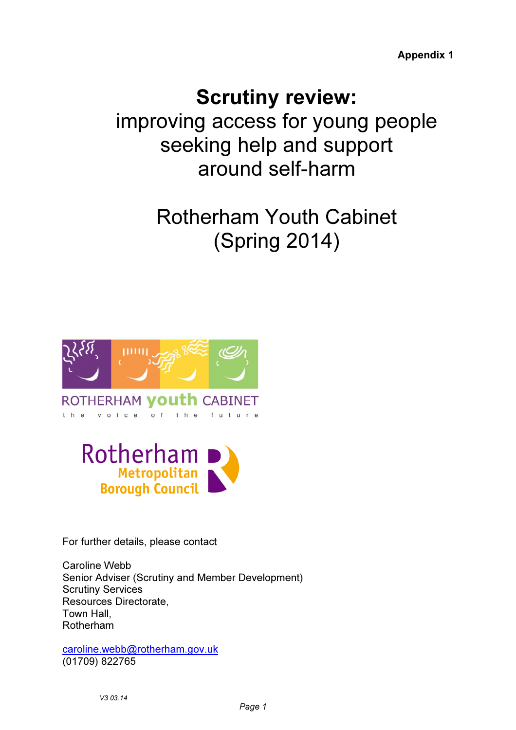Appendix 1

## Scrutiny review:

improving access for young people seeking help and support around self-harm

# Rotherham Youth Cabinet (Spring 2014)



ROTHERHAM **VOUth** CABINET  $t$  h e voice  $o f$ t h e future



For further details, please contact

Caroline Webb Senior Adviser (Scrutiny and Member Development) Scrutiny Services Resources Directorate, Town Hall, Rotherham

caroline.webb@rotherham.gov.uk (01709) 822765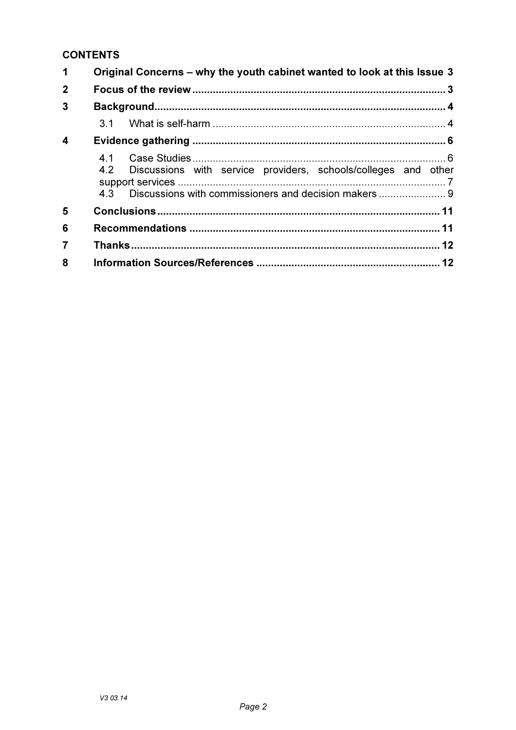### **CONTENTS**

| 1              | Original Concerns – why the youth cabinet wanted to look at this Issue 3 |                                                                    |  |  |
|----------------|--------------------------------------------------------------------------|--------------------------------------------------------------------|--|--|
| $\mathbf{2}$   |                                                                          |                                                                    |  |  |
| 3              |                                                                          |                                                                    |  |  |
|                |                                                                          |                                                                    |  |  |
| 4              |                                                                          |                                                                    |  |  |
|                |                                                                          | 4.2 Discussions with service providers, schools/colleges and other |  |  |
| 5              |                                                                          |                                                                    |  |  |
| 6              |                                                                          |                                                                    |  |  |
| $\overline{7}$ |                                                                          |                                                                    |  |  |
| 8              |                                                                          |                                                                    |  |  |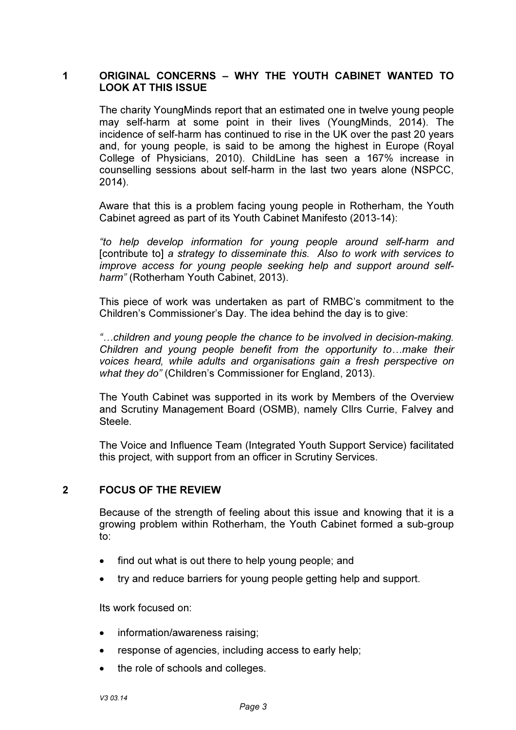#### 1 ORIGINAL CONCERNS – WHY THE YOUTH CABINET WANTED TO LOOK AT THIS ISSUE

The charity YoungMinds report that an estimated one in twelve young people may self-harm at some point in their lives (YoungMinds, 2014). The incidence of self-harm has continued to rise in the UK over the past 20 years and, for young people, is said to be among the highest in Europe (Royal College of Physicians, 2010). ChildLine has seen a 167% increase in counselling sessions about self-harm in the last two years alone (NSPCC, 2014).

Aware that this is a problem facing young people in Rotherham, the Youth Cabinet agreed as part of its Youth Cabinet Manifesto (2013-14):

*"to help develop information for young people around self-harm and*  [contribute to] *a strategy to disseminate this. Also to work with services to improve access for young people seeking help and support around selfharm"* (Rotherham Youth Cabinet, 2013).

This piece of work was undertaken as part of RMBC's commitment to the Children's Commissioner's Day. The idea behind the day is to give:

*"…children and young people the chance to be involved in decision-making. Children and young people benefit from the opportunity to…make their voices heard, while adults and organisations gain a fresh perspective on what they do"* (Children's Commissioner for England, 2013).

The Youth Cabinet was supported in its work by Members of the Overview and Scrutiny Management Board (OSMB), namely Cllrs Currie, Falvey and Steele.

The Voice and Influence Team (Integrated Youth Support Service) facilitated this project, with support from an officer in Scrutiny Services.

#### 2 FOCUS OF THE REVIEW

Because of the strength of feeling about this issue and knowing that it is a growing problem within Rotherham, the Youth Cabinet formed a sub-group to:

- find out what is out there to help young people; and
- try and reduce barriers for young people getting help and support.

Its work focused on:

- information/awareness raising;
- response of agencies, including access to early help;
- the role of schools and colleges.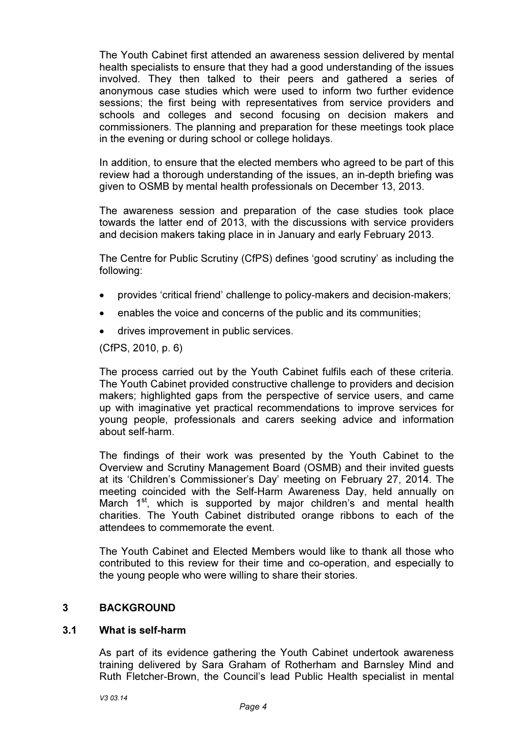The Youth Cabinet first attended an awareness session delivered by mental health specialists to ensure that they had a good understanding of the issues involved. They then talked to their peers and gathered a series of anonymous case studies which were used to inform two further evidence sessions; the first being with representatives from service providers and schools and colleges and second focusing on decision makers and commissioners. The planning and preparation for these meetings took place in the evening or during school or college holidays.

In addition, to ensure that the elected members who agreed to be part of this review had a thorough understanding of the issues, an in-depth briefing was given to OSMB by mental health professionals on December 13, 2013.

The awareness session and preparation of the case studies took place towards the latter end of 2013, with the discussions with service providers and decision makers taking place in in January and early February 2013.

The Centre for Public Scrutiny (CfPS) defines 'good scrutiny' as including the following:

- provides 'critical friend' challenge to policy-makers and decision-makers;
- enables the voice and concerns of the public and its communities;
- drives improvement in public services.

(CfPS, 2010, p. 6)

The process carried out by the Youth Cabinet fulfils each of these criteria. The Youth Cabinet provided constructive challenge to providers and decision makers; highlighted gaps from the perspective of service users, and came up with imaginative yet practical recommendations to improve services for young people, professionals and carers seeking advice and information about self-harm.

The findings of their work was presented by the Youth Cabinet to the Overview and Scrutiny Management Board (OSMB) and their invited guests at its 'Children's Commissioner's Day' meeting on February 27, 2014. The meeting coincided with the Self-Harm Awareness Day, held annually on March  $1^{st}$ , which is supported by major children's and mental health charities. The Youth Cabinet distributed orange ribbons to each of the attendees to commemorate the event.

The Youth Cabinet and Elected Members would like to thank all those who contributed to this review for their time and co-operation, and especially to the young people who were willing to share their stories.

#### 3 BACKGROUND

#### 3.1 What is self-harm

As part of its evidence gathering the Youth Cabinet undertook awareness training delivered by Sara Graham of Rotherham and Barnsley Mind and Ruth Fletcher-Brown, the Council's lead Public Health specialist in mental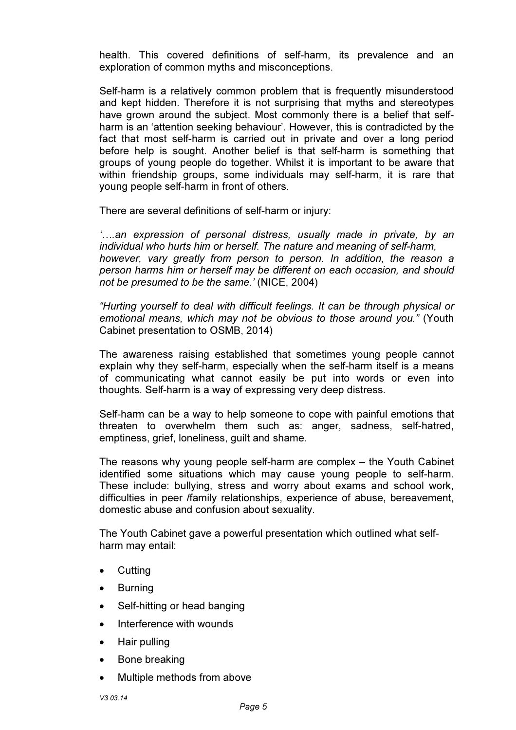health. This covered definitions of self-harm, its prevalence and an exploration of common myths and misconceptions.

Self-harm is a relatively common problem that is frequently misunderstood and kept hidden. Therefore it is not surprising that myths and stereotypes have grown around the subject. Most commonly there is a belief that selfharm is an 'attention seeking behaviour'. However, this is contradicted by the fact that most self-harm is carried out in private and over a long period before help is sought. Another belief is that self-harm is something that groups of young people do together. Whilst it is important to be aware that within friendship groups, some individuals may self-harm, it is rare that young people self-harm in front of others.

There are several definitions of self-harm or injury:

*'….an expression of personal distress, usually made in private, by an individual who hurts him or herself. The nature and meaning of self-harm, however, vary greatly from person to person. In addition, the reason a person harms him or herself may be different on each occasion, and should not be presumed to be the same.'* (NICE, 2004)

*"Hurting yourself to deal with difficult feelings. It can be through physical or emotional means, which may not be obvious to those around you."* (Youth Cabinet presentation to OSMB, 2014)

The awareness raising established that sometimes young people cannot explain why they self-harm, especially when the self-harm itself is a means of communicating what cannot easily be put into words or even into thoughts. Self-harm is a way of expressing very deep distress.

Self-harm can be a way to help someone to cope with painful emotions that threaten to overwhelm them such as: anger, sadness, self-hatred, emptiness, grief, loneliness, guilt and shame.

The reasons why young people self-harm are complex – the Youth Cabinet identified some situations which may cause young people to self-harm. These include: bullying, stress and worry about exams and school work, difficulties in peer /family relationships, experience of abuse, bereavement, domestic abuse and confusion about sexuality.

The Youth Cabinet gave a powerful presentation which outlined what selfharm may entail:

- Cutting
- **Burning**
- Self-hitting or head banging
- Interference with wounds
- Hair pulling
- Bone breaking
- Multiple methods from above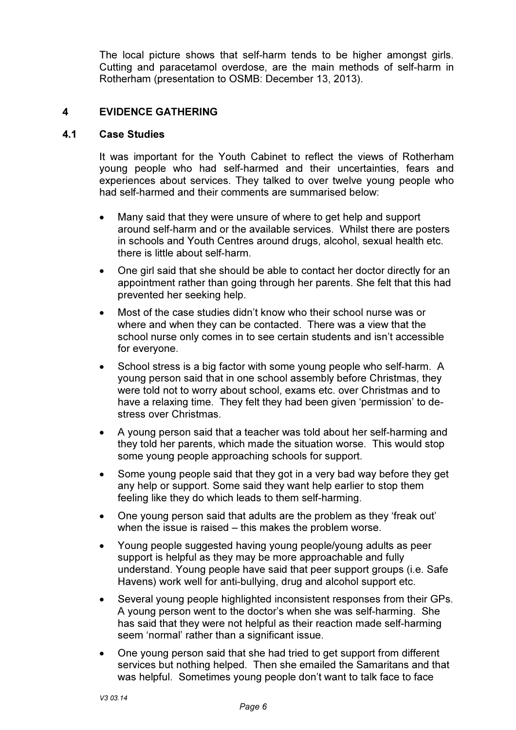The local picture shows that self-harm tends to be higher amongst girls. Cutting and paracetamol overdose, are the main methods of self-harm in Rotherham (presentation to OSMB: December 13, 2013).

#### 4 EVIDENCE GATHERING

#### 4.1 Case Studies

It was important for the Youth Cabinet to reflect the views of Rotherham young people who had self-harmed and their uncertainties, fears and experiences about services. They talked to over twelve young people who had self-harmed and their comments are summarised below:

- Many said that they were unsure of where to get help and support around self-harm and or the available services. Whilst there are posters in schools and Youth Centres around drugs, alcohol, sexual health etc. there is little about self-harm.
- One girl said that she should be able to contact her doctor directly for an appointment rather than going through her parents. She felt that this had prevented her seeking help.
- Most of the case studies didn't know who their school nurse was or where and when they can be contacted. There was a view that the school nurse only comes in to see certain students and isn't accessible for everyone.
- School stress is a big factor with some young people who self-harm. A young person said that in one school assembly before Christmas, they were told not to worry about school, exams etc. over Christmas and to have a relaxing time. They felt they had been given 'permission' to destress over Christmas.
- A young person said that a teacher was told about her self-harming and they told her parents, which made the situation worse. This would stop some young people approaching schools for support.
- Some young people said that they got in a very bad way before they get any help or support. Some said they want help earlier to stop them feeling like they do which leads to them self-harming.
- One young person said that adults are the problem as they 'freak out' when the issue is raised – this makes the problem worse.
- Young people suggested having young people/young adults as peer support is helpful as they may be more approachable and fully understand. Young people have said that peer support groups (i.e. Safe Havens) work well for anti-bullying, drug and alcohol support etc.
- Several young people highlighted inconsistent responses from their GPs. A young person went to the doctor's when she was self-harming. She has said that they were not helpful as their reaction made self-harming seem 'normal' rather than a significant issue.
- One young person said that she had tried to get support from different services but nothing helped. Then she emailed the Samaritans and that was helpful. Sometimes young people don't want to talk face to face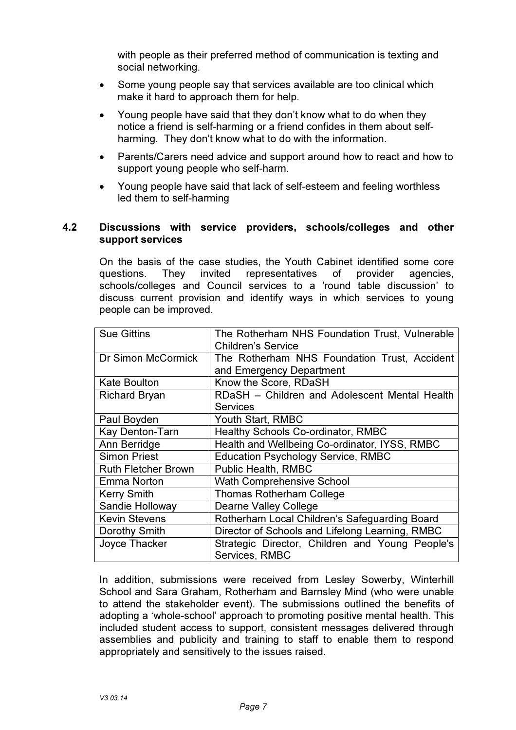with people as their preferred method of communication is texting and social networking.

- Some young people say that services available are too clinical which make it hard to approach them for help.
- Young people have said that they don't know what to do when they notice a friend is self-harming or a friend confides in them about selfharming. They don't know what to do with the information.
- Parents/Carers need advice and support around how to react and how to support young people who self-harm.
- Young people have said that lack of self-esteem and feeling worthless led them to self-harming

#### 4.2 Discussions with service providers, schools/colleges and other support services

On the basis of the case studies, the Youth Cabinet identified some core questions. They invited representatives of provider agencies, schools/colleges and Council services to a 'round table discussion' to discuss current provision and identify ways in which services to young people can be improved.

| <b>Sue Gittins</b>         | The Rotherham NHS Foundation Trust, Vulnerable  |
|----------------------------|-------------------------------------------------|
|                            | <b>Children's Service</b>                       |
| Dr Simon McCormick         | The Rotherham NHS Foundation Trust, Accident    |
|                            | and Emergency Department                        |
| <b>Kate Boulton</b>        | Know the Score, RDaSH                           |
| <b>Richard Bryan</b>       | RDaSH - Children and Adolescent Mental Health   |
|                            | <b>Services</b>                                 |
| Paul Boyden                | Youth Start, RMBC                               |
| Kay Denton-Tarn            | Healthy Schools Co-ordinator, RMBC              |
| Ann Berridge               | Health and Wellbeing Co-ordinator, IYSS, RMBC   |
| <b>Simon Priest</b>        | <b>Education Psychology Service, RMBC</b>       |
| <b>Ruth Fletcher Brown</b> | <b>Public Health, RMBC</b>                      |
| <b>Emma Norton</b>         | <b>Wath Comprehensive School</b>                |
| <b>Kerry Smith</b>         | <b>Thomas Rotherham College</b>                 |
| Sandie Holloway            | <b>Dearne Valley College</b>                    |
| <b>Kevin Stevens</b>       | Rotherham Local Children's Safeguarding Board   |
| Dorothy Smith              | Director of Schools and Lifelong Learning, RMBC |
| Joyce Thacker              | Strategic Director, Children and Young People's |
|                            | Services, RMBC                                  |

In addition, submissions were received from Lesley Sowerby, Winterhill School and Sara Graham, Rotherham and Barnsley Mind (who were unable to attend the stakeholder event). The submissions outlined the benefits of adopting a 'whole-school' approach to promoting positive mental health. This included student access to support, consistent messages delivered through assemblies and publicity and training to staff to enable them to respond appropriately and sensitively to the issues raised.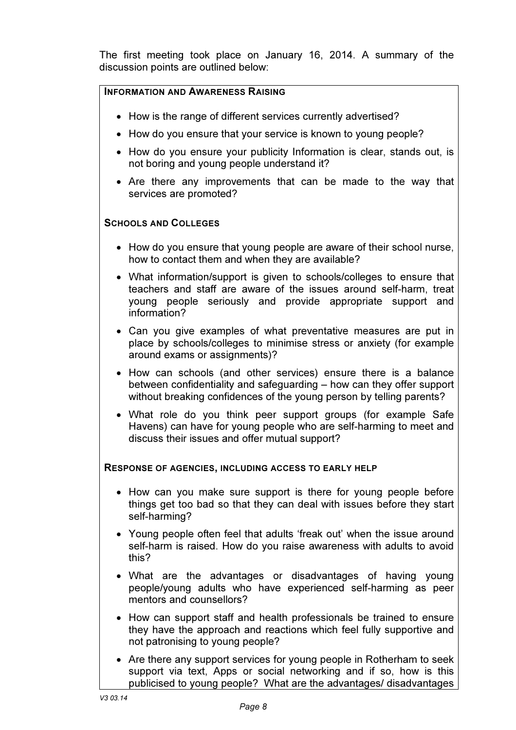The first meeting took place on January 16, 2014. A summary of the discussion points are outlined below:

#### INFORMATION AND AWARENESS RAISING

- How is the range of different services currently advertised?
- How do you ensure that your service is known to young people?
- How do you ensure your publicity Information is clear, stands out, is not boring and young people understand it?
- Are there any improvements that can be made to the way that services are promoted?

#### SCHOOLS AND COLLEGES

- How do you ensure that young people are aware of their school nurse, how to contact them and when they are available?
- What information/support is given to schools/colleges to ensure that teachers and staff are aware of the issues around self-harm, treat young people seriously and provide appropriate support and information?
- Can you give examples of what preventative measures are put in place by schools/colleges to minimise stress or anxiety (for example around exams or assignments)?
- How can schools (and other services) ensure there is a balance between confidentiality and safeguarding – how can they offer support without breaking confidences of the young person by telling parents?
- What role do you think peer support groups (for example Safe Havens) can have for young people who are self-harming to meet and discuss their issues and offer mutual support?

#### RESPONSE OF AGENCIES, INCLUDING ACCESS TO EARLY HELP

- How can you make sure support is there for young people before things get too bad so that they can deal with issues before they start self-harming?
- Young people often feel that adults 'freak out' when the issue around self-harm is raised. How do you raise awareness with adults to avoid this?
- What are the advantages or disadvantages of having young people/young adults who have experienced self-harming as peer mentors and counsellors?
- How can support staff and health professionals be trained to ensure they have the approach and reactions which feel fully supportive and not patronising to young people?
- Are there any support services for young people in Rotherham to seek support via text, Apps or social networking and if so, how is this publicised to young people? What are the advantages/ disadvantages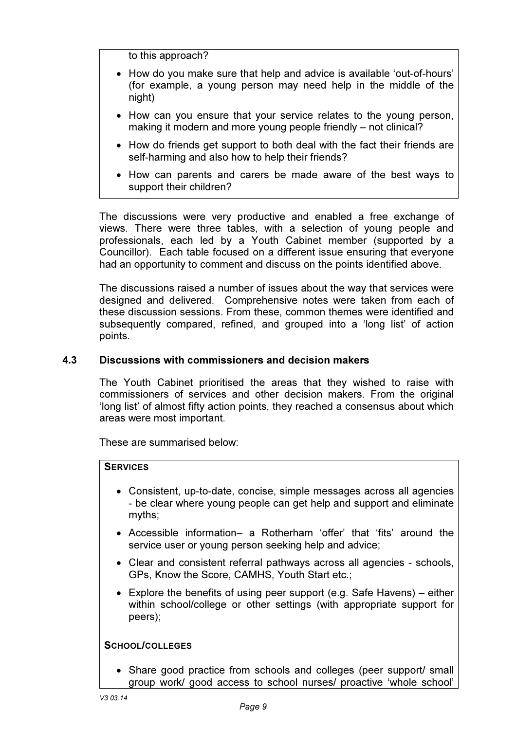to this approach?

- How do you make sure that help and advice is available 'out-of-hours' (for example, a young person may need help in the middle of the night)
- How can you ensure that your service relates to the young person, making it modern and more young people friendly – not clinical?
- How do friends get support to both deal with the fact their friends are self-harming and also how to help their friends?
- How can parents and carers be made aware of the best ways to support their children?

The discussions were very productive and enabled a free exchange of views. There were three tables, with a selection of young people and professionals, each led by a Youth Cabinet member (supported by a Councillor). Each table focused on a different issue ensuring that everyone had an opportunity to comment and discuss on the points identified above.

The discussions raised a number of issues about the way that services were designed and delivered. Comprehensive notes were taken from each of these discussion sessions. From these, common themes were identified and subsequently compared, refined, and grouped into a 'long list' of action points.

#### 4.3 Discussions with commissioners and decision makers

The Youth Cabinet prioritised the areas that they wished to raise with commissioners of services and other decision makers. From the original 'long list' of almost fifty action points, they reached a consensus about which areas were most important.

These are summarised below:

#### **SERVICES**

- Consistent, up-to-date, concise, simple messages across all agencies - be clear where young people can get help and support and eliminate myths;
- Accessible information– a Rotherham 'offer' that 'fits' around the service user or young person seeking help and advice;
- Clear and consistent referral pathways across all agencies schools, GPs, Know the Score, CAMHS, Youth Start etc.;
- Explore the benefits of using peer support (e.g. Safe Havens) either within school/college or other settings (with appropriate support for peers);

#### SCHOOL/COLLEGES

• Share good practice from schools and colleges (peer support/ small group work/ good access to school nurses/ proactive 'whole school'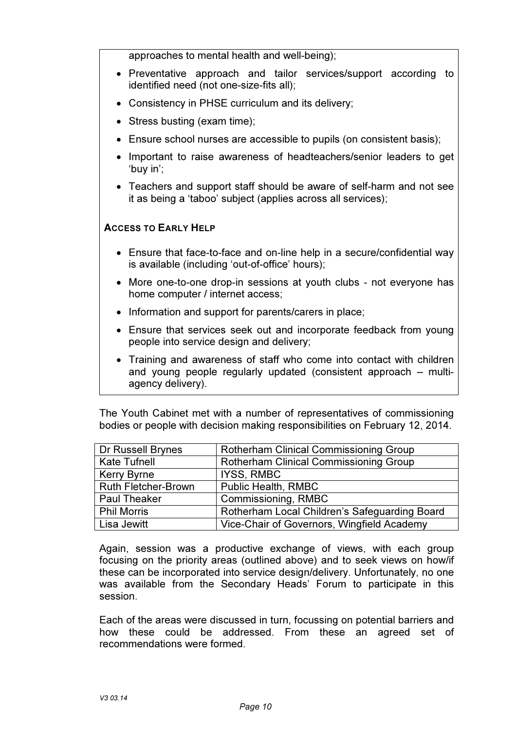approaches to mental health and well-being);

- Preventative approach and tailor services/support according to identified need (not one-size-fits all);
- Consistency in PHSE curriculum and its delivery;
- Stress busting (exam time);
- Ensure school nurses are accessible to pupils (on consistent basis);
- Important to raise awareness of headteachers/senior leaders to get 'buy in';
- Teachers and support staff should be aware of self-harm and not see it as being a 'taboo' subject (applies across all services);

#### ACCESS TO EARLY HELP

- Ensure that face-to-face and on-line help in a secure/confidential way is available (including 'out-of-office' hours);
- More one-to-one drop-in sessions at youth clubs not everyone has home computer / internet access;
- Information and support for parents/carers in place;
- Ensure that services seek out and incorporate feedback from young people into service design and delivery;
- Training and awareness of staff who come into contact with children and young people regularly updated (consistent approach – multiagency delivery).

The Youth Cabinet met with a number of representatives of commissioning bodies or people with decision making responsibilities on February 12, 2014.

| Dr Russell Brynes          | <b>Rotherham Clinical Commissioning Group</b> |
|----------------------------|-----------------------------------------------|
| <b>Kate Tufnell</b>        | <b>Rotherham Clinical Commissioning Group</b> |
| <b>Kerry Byrne</b>         | <b>IYSS, RMBC</b>                             |
| <b>Ruth Fletcher-Brown</b> | <b>Public Health, RMBC</b>                    |
| <b>Paul Theaker</b>        | Commissioning, RMBC                           |
| <b>Phil Morris</b>         | Rotherham Local Children's Safeguarding Board |
| Lisa Jewitt                | Vice-Chair of Governors, Wingfield Academy    |

Again, session was a productive exchange of views, with each group focusing on the priority areas (outlined above) and to seek views on how/if these can be incorporated into service design/delivery. Unfortunately, no one was available from the Secondary Heads' Forum to participate in this session.

Each of the areas were discussed in turn, focussing on potential barriers and how these could be addressed. From these an agreed set of recommendations were formed.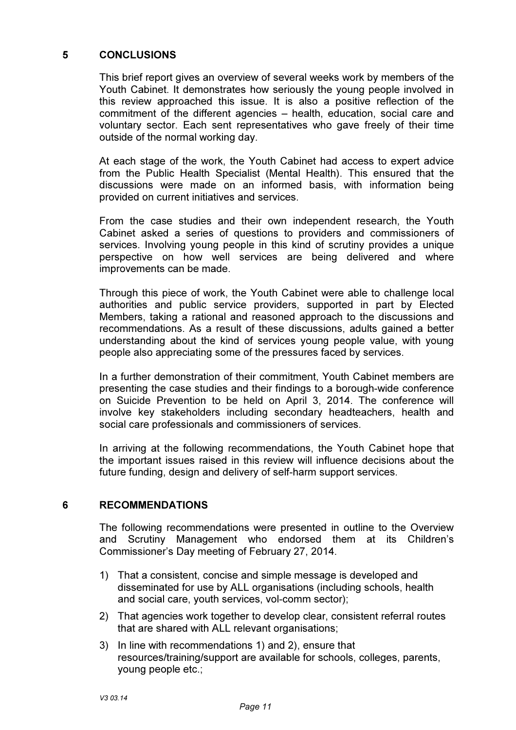#### 5 CONCLUSIONS

This brief report gives an overview of several weeks work by members of the Youth Cabinet. It demonstrates how seriously the young people involved in this review approached this issue. It is also a positive reflection of the commitment of the different agencies – health, education, social care and voluntary sector. Each sent representatives who gave freely of their time outside of the normal working day.

At each stage of the work, the Youth Cabinet had access to expert advice from the Public Health Specialist (Mental Health). This ensured that the discussions were made on an informed basis, with information being provided on current initiatives and services.

From the case studies and their own independent research, the Youth Cabinet asked a series of questions to providers and commissioners of services. Involving young people in this kind of scrutiny provides a unique perspective on how well services are being delivered and where improvements can be made.

Through this piece of work, the Youth Cabinet were able to challenge local authorities and public service providers, supported in part by Elected Members, taking a rational and reasoned approach to the discussions and recommendations. As a result of these discussions, adults gained a better understanding about the kind of services young people value, with young people also appreciating some of the pressures faced by services.

In a further demonstration of their commitment, Youth Cabinet members are presenting the case studies and their findings to a borough-wide conference on Suicide Prevention to be held on April 3, 2014. The conference will involve key stakeholders including secondary headteachers, health and social care professionals and commissioners of services.

In arriving at the following recommendations, the Youth Cabinet hope that the important issues raised in this review will influence decisions about the future funding, design and delivery of self-harm support services.

#### 6 RECOMMENDATIONS

The following recommendations were presented in outline to the Overview and Scrutiny Management who endorsed them at its Children's Commissioner's Day meeting of February 27, 2014.

- 1) That a consistent, concise and simple message is developed and disseminated for use by ALL organisations (including schools, health and social care, youth services, vol-comm sector);
- 2) That agencies work together to develop clear, consistent referral routes that are shared with ALL relevant organisations;
- 3) In line with recommendations 1) and 2), ensure that resources/training/support are available for schools, colleges, parents, young people etc.;